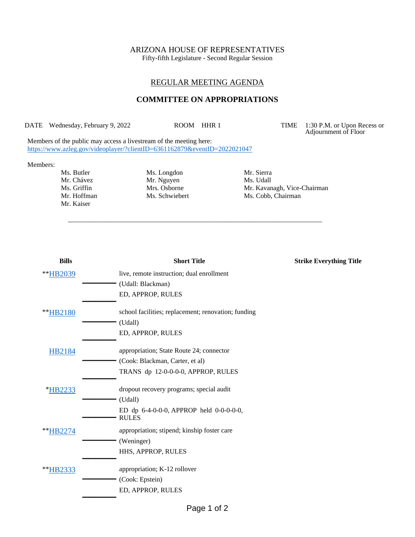# ARIZONA HOUSE OF REPRESENTATIVES

Fifty-fifth Legislature - Second Regular Session

### REGULAR MEETING AGENDA

#### **COMMITTEE ON APPROPRIATIONS**

\_\_\_\_\_\_\_\_\_\_\_\_\_\_\_\_\_\_\_\_\_\_\_\_\_\_\_\_\_\_\_\_\_\_\_\_\_\_\_\_\_\_\_\_\_\_\_\_\_\_\_\_\_\_\_\_\_\_\_\_\_\_\_\_\_\_\_\_\_\_\_\_\_\_\_

DATE Wednesday, February 9, 2022 ROOM HHR 1 TIME 1:30 P.M. or Upon Recess or Adjournment of Floor

Members of the public may access a livestream of the meeting here: <https://www.azleg.gov/videoplayer/?clientID=6361162879&eventID=2022021047>

#### Members:

Mr. Kaiser

Ms. Butler Ms. Longdon Mr. Sierra<br>
Mr. Chávez Mr. Nguyen Ms. Udall Mr. Nguyen<br>Mrs. Osborne

Ms. Griffin Mrs. Osborne Mr. Kavanagh, Vice-Chairman Mr. Hoffman Ms. Schwiebert Ms. Cobb, Chairman

| live, remote instruction; dual enrollment<br>(Udall: Blackman)<br>ED, APPROP, RULES<br>school facilities; replacement; renovation; funding<br>(Udall)<br>ED, APPROP, RULES<br>appropriation; State Route 24; connector<br>HB2184<br>(Cook: Blackman, Carter, et al)<br>TRANS dp 12-0-0-0-0, APPROP, RULES<br>*HB2233<br>dropout recovery programs; special audit<br>(Udall)<br>ED dp $6-4-0-0-0$ , APPROP held $0-0-0-0-0$ ,<br><b>RULES</b><br>appropriation; stipend; kinship foster care<br>**HB2274<br>(Weninger)<br>HHS, APPROP, RULES<br>appropriation; K-12 rollover<br>(Cook: Epstein)<br>ED, APPROP, RULES | <b>Bills</b> | <b>Short Title</b> | <b>Strike Everything Title</b> |
|---------------------------------------------------------------------------------------------------------------------------------------------------------------------------------------------------------------------------------------------------------------------------------------------------------------------------------------------------------------------------------------------------------------------------------------------------------------------------------------------------------------------------------------------------------------------------------------------------------------------|--------------|--------------------|--------------------------------|
|                                                                                                                                                                                                                                                                                                                                                                                                                                                                                                                                                                                                                     | **HB2039     |                    |                                |
|                                                                                                                                                                                                                                                                                                                                                                                                                                                                                                                                                                                                                     |              |                    |                                |
|                                                                                                                                                                                                                                                                                                                                                                                                                                                                                                                                                                                                                     |              |                    |                                |
|                                                                                                                                                                                                                                                                                                                                                                                                                                                                                                                                                                                                                     | **HB2180     |                    |                                |
|                                                                                                                                                                                                                                                                                                                                                                                                                                                                                                                                                                                                                     |              |                    |                                |
|                                                                                                                                                                                                                                                                                                                                                                                                                                                                                                                                                                                                                     |              |                    |                                |
|                                                                                                                                                                                                                                                                                                                                                                                                                                                                                                                                                                                                                     |              |                    |                                |
|                                                                                                                                                                                                                                                                                                                                                                                                                                                                                                                                                                                                                     |              |                    |                                |
|                                                                                                                                                                                                                                                                                                                                                                                                                                                                                                                                                                                                                     |              |                    |                                |
|                                                                                                                                                                                                                                                                                                                                                                                                                                                                                                                                                                                                                     |              |                    |                                |
|                                                                                                                                                                                                                                                                                                                                                                                                                                                                                                                                                                                                                     |              |                    |                                |
|                                                                                                                                                                                                                                                                                                                                                                                                                                                                                                                                                                                                                     |              |                    |                                |
|                                                                                                                                                                                                                                                                                                                                                                                                                                                                                                                                                                                                                     |              |                    |                                |
|                                                                                                                                                                                                                                                                                                                                                                                                                                                                                                                                                                                                                     |              |                    |                                |
|                                                                                                                                                                                                                                                                                                                                                                                                                                                                                                                                                                                                                     |              |                    |                                |
|                                                                                                                                                                                                                                                                                                                                                                                                                                                                                                                                                                                                                     | **HB2333     |                    |                                |
|                                                                                                                                                                                                                                                                                                                                                                                                                                                                                                                                                                                                                     |              |                    |                                |
|                                                                                                                                                                                                                                                                                                                                                                                                                                                                                                                                                                                                                     |              |                    |                                |